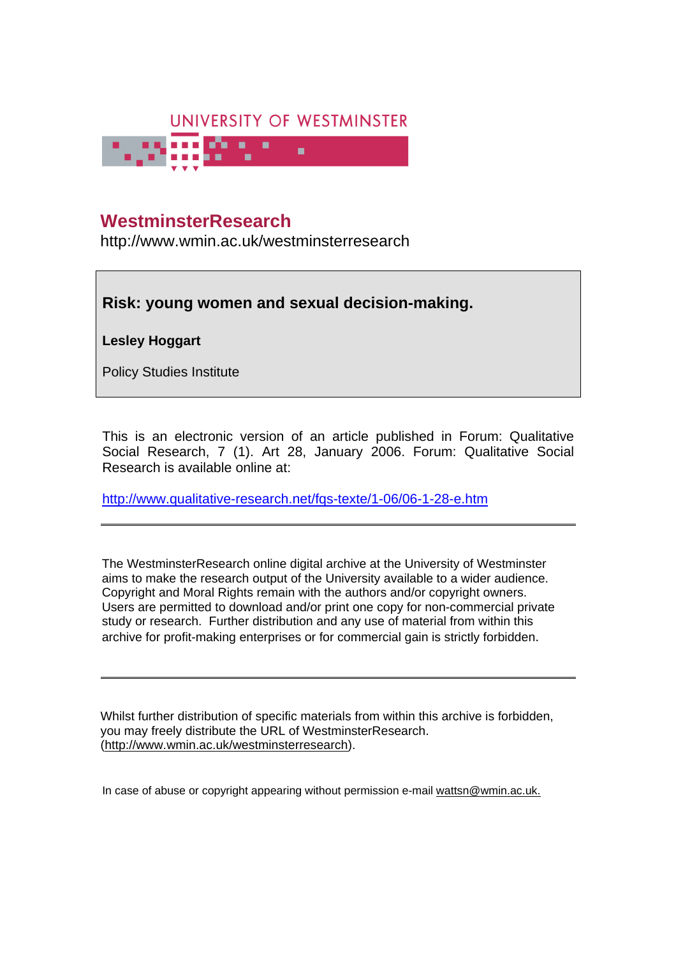

# **University of Westminster Eprints WestminsterResearch**

http://www.wmin.ac.uk/westminsterresearch

# **Risk: young women and sexual decision-making.**

**Lesley Hoggart** 

Policy Studies Institute

This is an electronic version of an article published in Forum: Qualitative Social Research, 7 (1). Art 28, January 2006. Forum: Qualitative Social Research is available online at:

http://www.qualitative-research.net/fqs-texte/1-06/06-1-28-e.htm

The WestminsterResearch online digital archive at the University of Westminster aims to make the research output of the University available to a wider audience. Copyright and Moral Rights remain with the authors and/or copyright owners. Users are permitted to download and/or print one copy for non-commercial private Users are permitted to download and/or print one copy for non-commercial private study or research. Further distribution and any use of material from within this study or research. Further distribution and any use of material from within this archive for profit-making enterprises or for commercial gain is strictly forbidden. archive for profit-making enterprises or for commercial gain is strictly forbidden.

Whilst further distribution of specific materials from within this archive is forbidden, Whilst further distribution of specific materials from within this archive is forbidden, you may freely distribute the URL of WestminsterResearch. (http://www.wmin.ac.uk/westminsterresearch).

In case of abuse or copyright appearing without permission e-mail wattsn@wmin.ac.uk.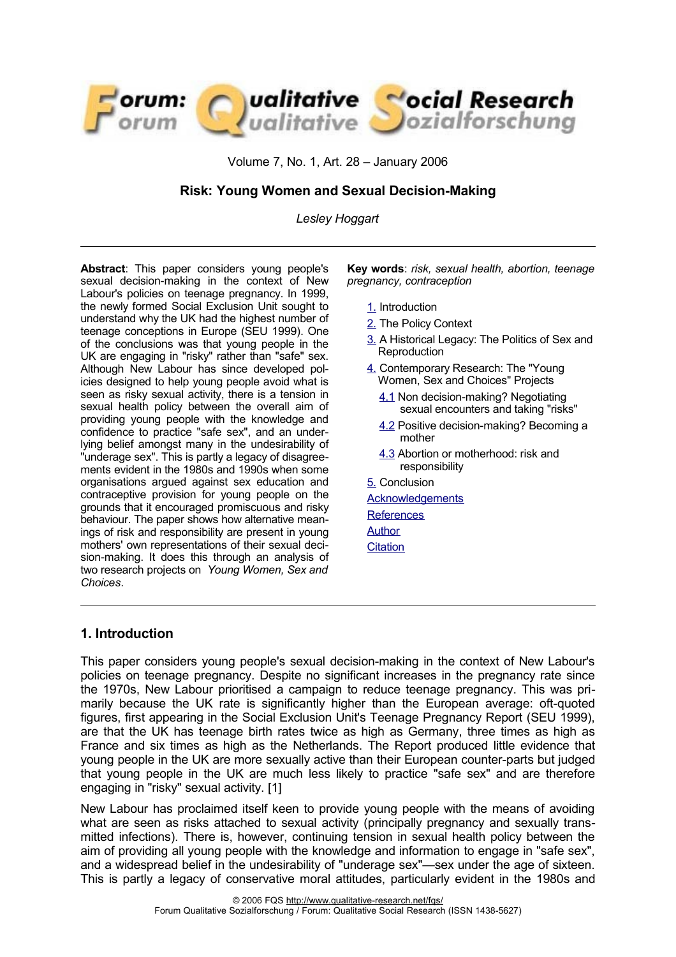

Volume 7, No. 1, Art. 28 – January 2006

### **Risk: Young Women and Sexual Decision-Making**

*Lesley Hoggart*

**Abstract**: This paper considers young people's sexual decision-making in the context of New Labour's policies on teenage pregnancy. In 1999, the newly formed Social Exclusion Unit sought to understand why the UK had the highest number of teenage conceptions in Europe (SEU 1999). One of the conclusions was that young people in the UK are engaging in "risky" rather than "safe" sex. Although New Labour has since developed policies designed to help young people avoid what is seen as risky sexual activity, there is a tension in sexual health policy between the overall aim of providing young people with the knowledge and confidence to practice "safe sex", and an underlying belief amongst many in the undesirability of "underage sex". This is partly a legacy of disagreements evident in the 1980s and 1990s when some organisations argued against sex education and contraceptive provision for young people on the grounds that it encouraged promiscuous and risky behaviour. The paper shows how alternative meanings of risk and responsibility are present in young mothers' own representations of their sexual decision-making. It does this through an analysis of two research projects on *Young Women, Sex and Choices*.

**Key words**: *risk, sexual health, abortion, teenage pregnancy, contraception*

- [1.](#page-1-0) Introduction
- [2.](#page-2-0) The Policy Context
- [3.](#page-4-0) A Historical Legacy: The Politics of Sex and **Reproduction**
- [4.](#page-6-1) Contemporary Research: The "Young Women, Sex and Choices" Projects
	- [4.1](#page-6-0) Non decision-making? Negotiating sexual encounters and taking "risks"
	- [4.2](#page-9-0) Positive decision-making? Becoming a mother
	- [4.3](#page-10-0) Abortion or motherhood: risk and responsibility
- [5.](#page-11-0) Conclusion
- **[Acknowledgements](#page-12-1) References Author**
- **[Citation](#page-14-0)**

#### <span id="page-1-0"></span>**1. Introduction**

This paper considers young people's sexual decision-making in the context of New Labour's policies on teenage pregnancy. Despite no significant increases in the pregnancy rate since the 1970s, New Labour prioritised a campaign to reduce teenage pregnancy. This was primarily because the UK rate is significantly higher than the European average: oft-quoted figures, first appearing in the Social Exclusion Unit's Teenage Pregnancy Report (SEU 1999), are that the UK has teenage birth rates twice as high as Germany, three times as high as France and six times as high as the Netherlands. The Report produced little evidence that young people in the UK are more sexually active than their European counter-parts but judged that young people in the UK are much less likely to practice "safe sex" and are therefore engaging in "risky" sexual activity. [1]

New Labour has proclaimed itself keen to provide young people with the means of avoiding what are seen as risks attached to sexual activity (principally pregnancy and sexually transmitted infections). There is, however, continuing tension in sexual health policy between the aim of providing all young people with the knowledge and information to engage in "safe sex", and a widespread belief in the undesirability of "underage sex"—sex under the age of sixteen. This is partly a legacy of conservative moral attitudes, particularly evident in the 1980s and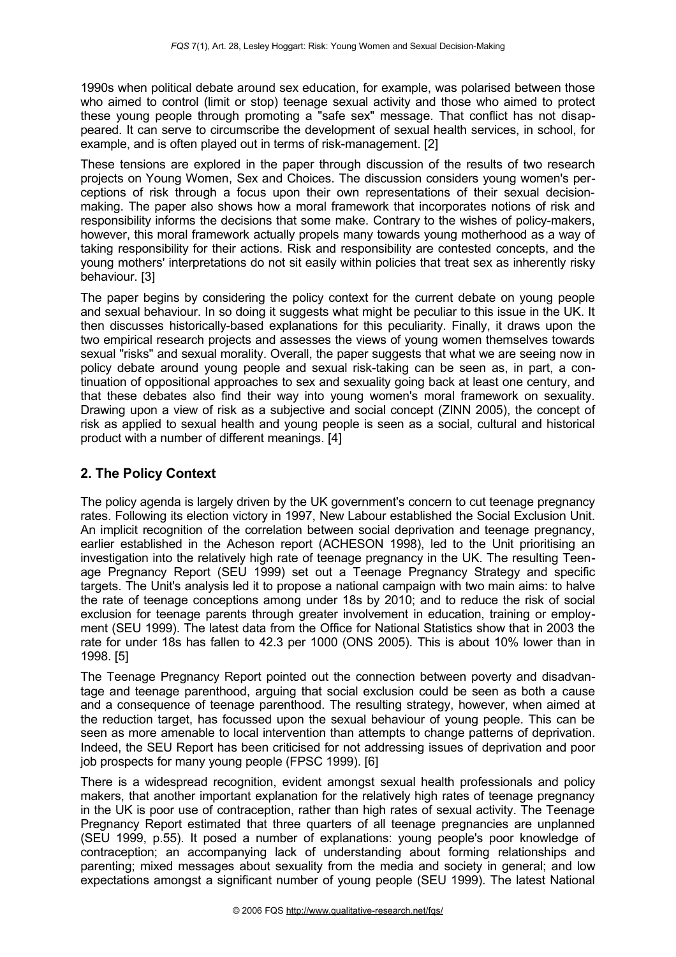1990s when political debate around sex education, for example, was polarised between those who aimed to control (limit or stop) teenage sexual activity and those who aimed to protect these young people through promoting a "safe sex" message. That conflict has not disappeared. It can serve to circumscribe the development of sexual health services, in school, for example, and is often played out in terms of risk-management. [2]

These tensions are explored in the paper through discussion of the results of two research projects on Young Women, Sex and Choices. The discussion considers young women's perceptions of risk through a focus upon their own representations of their sexual decisionmaking. The paper also shows how a moral framework that incorporates notions of risk and responsibility informs the decisions that some make. Contrary to the wishes of policy-makers, however, this moral framework actually propels many towards young motherhood as a way of taking responsibility for their actions. Risk and responsibility are contested concepts, and the young mothers' interpretations do not sit easily within policies that treat sex as inherently risky behaviour. [3]

The paper begins by considering the policy context for the current debate on young people and sexual behaviour. In so doing it suggests what might be peculiar to this issue in the UK. It then discusses historically-based explanations for this peculiarity. Finally, it draws upon the two empirical research projects and assesses the views of young women themselves towards sexual "risks" and sexual morality. Overall, the paper suggests that what we are seeing now in policy debate around young people and sexual risk-taking can be seen as, in part, a continuation of oppositional approaches to sex and sexuality going back at least one century, and that these debates also find their way into young women's moral framework on sexuality. Drawing upon a view of risk as a subjective and social concept (ZINN 2005), the concept of risk as applied to sexual health and young people is seen as a social, cultural and historical product with a number of different meanings. [4]

# <span id="page-2-0"></span>**2. The Policy Context**

The policy agenda is largely driven by the UK government's concern to cut teenage pregnancy rates. Following its election victory in 1997, New Labour established the Social Exclusion Unit. An implicit recognition of the correlation between social deprivation and teenage pregnancy, earlier established in the Acheson report (ACHESON 1998), led to the Unit prioritising an investigation into the relatively high rate of teenage pregnancy in the UK. The resulting Teenage Pregnancy Report (SEU 1999) set out a Teenage Pregnancy Strategy and specific targets. The Unit's analysis led it to propose a national campaign with two main aims: to halve the rate of teenage conceptions among under 18s by 2010; and to reduce the risk of social exclusion for teenage parents through greater involvement in education, training or employment (SEU 1999). The latest data from the Office for National Statistics show that in 2003 the rate for under 18s has fallen to 42.3 per 1000 (ONS 2005). This is about 10% lower than in 1998. [5]

The Teenage Pregnancy Report pointed out the connection between poverty and disadvantage and teenage parenthood, arguing that social exclusion could be seen as both a cause and a consequence of teenage parenthood. The resulting strategy, however, when aimed at the reduction target, has focussed upon the sexual behaviour of young people. This can be seen as more amenable to local intervention than attempts to change patterns of deprivation. Indeed, the SEU Report has been criticised for not addressing issues of deprivation and poor job prospects for many young people (FPSC 1999). [6]

There is a widespread recognition, evident amongst sexual health professionals and policy makers, that another important explanation for the relatively high rates of teenage pregnancy in the UK is poor use of contraception, rather than high rates of sexual activity. The Teenage Pregnancy Report estimated that three quarters of all teenage pregnancies are unplanned (SEU 1999, p.55). It posed a number of explanations: young people's poor knowledge of contraception; an accompanying lack of understanding about forming relationships and parenting; mixed messages about sexuality from the media and society in general; and low expectations amongst a significant number of young people (SEU 1999). The latest National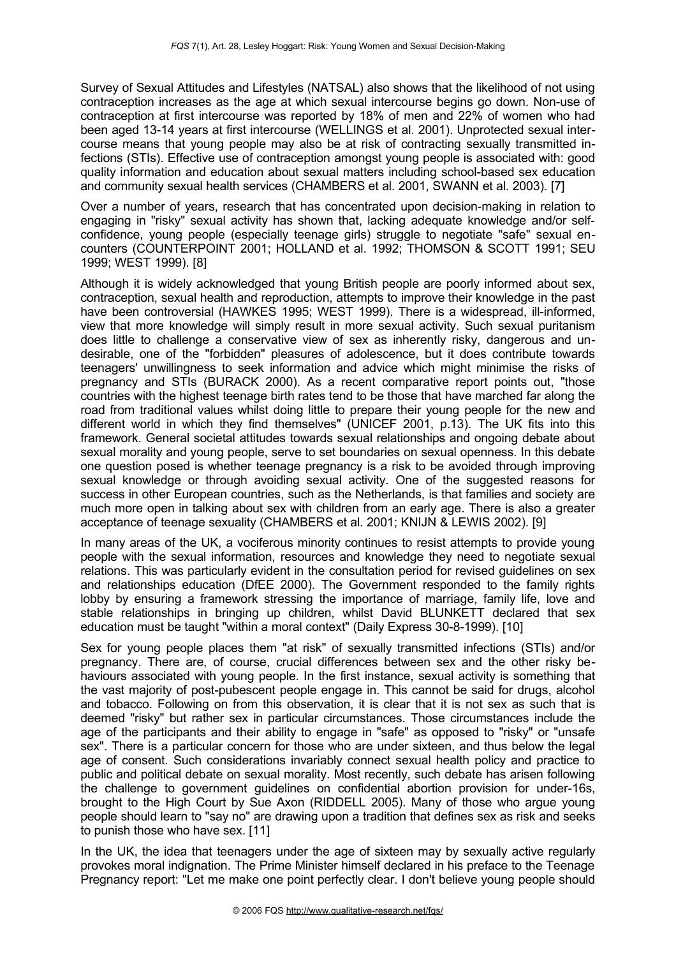Survey of Sexual Attitudes and Lifestyles (NATSAL) also shows that the likelihood of not using contraception increases as the age at which sexual intercourse begins go down. Non-use of contraception at first intercourse was reported by 18% of men and 22% of women who had been aged 13-14 years at first intercourse (WELLINGS et al. 2001). Unprotected sexual intercourse means that young people may also be at risk of contracting sexually transmitted infections (STIs). Effective use of contraception amongst young people is associated with: good quality information and education about sexual matters including school-based sex education and community sexual health services (CHAMBERS et al. 2001, SWANN et al. 2003). [7]

Over a number of years, research that has concentrated upon decision-making in relation to engaging in "risky" sexual activity has shown that, lacking adequate knowledge and/or selfconfidence, young people (especially teenage girls) struggle to negotiate "safe" sexual encounters (COUNTERPOINT 2001; HOLLAND et al. 1992; THOMSON & SCOTT 1991; SEU 1999; WEST 1999). [8]

Although it is widely acknowledged that young British people are poorly informed about sex, contraception, sexual health and reproduction, attempts to improve their knowledge in the past have been controversial (HAWKES 1995; WEST 1999). There is a widespread, ill-informed, view that more knowledge will simply result in more sexual activity. Such sexual puritanism does little to challenge a conservative view of sex as inherently risky, dangerous and undesirable, one of the "forbidden" pleasures of adolescence, but it does contribute towards teenagers' unwillingness to seek information and advice which might minimise the risks of pregnancy and STIs (BURACK 2000). As a recent comparative report points out, "those countries with the highest teenage birth rates tend to be those that have marched far along the road from traditional values whilst doing little to prepare their young people for the new and different world in which they find themselves" (UNICEF 2001, p.13). The UK fits into this framework. General societal attitudes towards sexual relationships and ongoing debate about sexual morality and young people, serve to set boundaries on sexual openness. In this debate one question posed is whether teenage pregnancy is a risk to be avoided through improving sexual knowledge or through avoiding sexual activity. One of the suggested reasons for success in other European countries, such as the Netherlands, is that families and society are much more open in talking about sex with children from an early age. There is also a greater acceptance of teenage sexuality (CHAMBERS et al. 2001; KNIJN & LEWIS 2002). [9]

In many areas of the UK, a vociferous minority continues to resist attempts to provide young people with the sexual information, resources and knowledge they need to negotiate sexual relations. This was particularly evident in the consultation period for revised guidelines on sex and relationships education (DfEE 2000). The Government responded to the family rights lobby by ensuring a framework stressing the importance of marriage, family life, love and stable relationships in bringing up children, whilst David BLUNKETT declared that sex education must be taught "within a moral context" (Daily Express 30-8-1999). [10]

Sex for young people places them "at risk" of sexually transmitted infections (STIs) and/or pregnancy. There are, of course, crucial differences between sex and the other risky behaviours associated with young people. In the first instance, sexual activity is something that the vast majority of post-pubescent people engage in. This cannot be said for drugs, alcohol and tobacco. Following on from this observation, it is clear that it is not sex as such that is deemed "risky" but rather sex in particular circumstances. Those circumstances include the age of the participants and their ability to engage in "safe" as opposed to "risky" or "unsafe sex". There is a particular concern for those who are under sixteen, and thus below the legal age of consent. Such considerations invariably connect sexual health policy and practice to public and political debate on sexual morality. Most recently, such debate has arisen following the challenge to government guidelines on confidential abortion provision for under-16s, brought to the High Court by Sue Axon (RIDDELL 2005). Many of those who argue young people should learn to "say no" are drawing upon a tradition that defines sex as risk and seeks to punish those who have sex. [11]

In the UK, the idea that teenagers under the age of sixteen may by sexually active regularly provokes moral indignation. The Prime Minister himself declared in his preface to the Teenage Pregnancy report: "Let me make one point perfectly clear. I don't believe young people should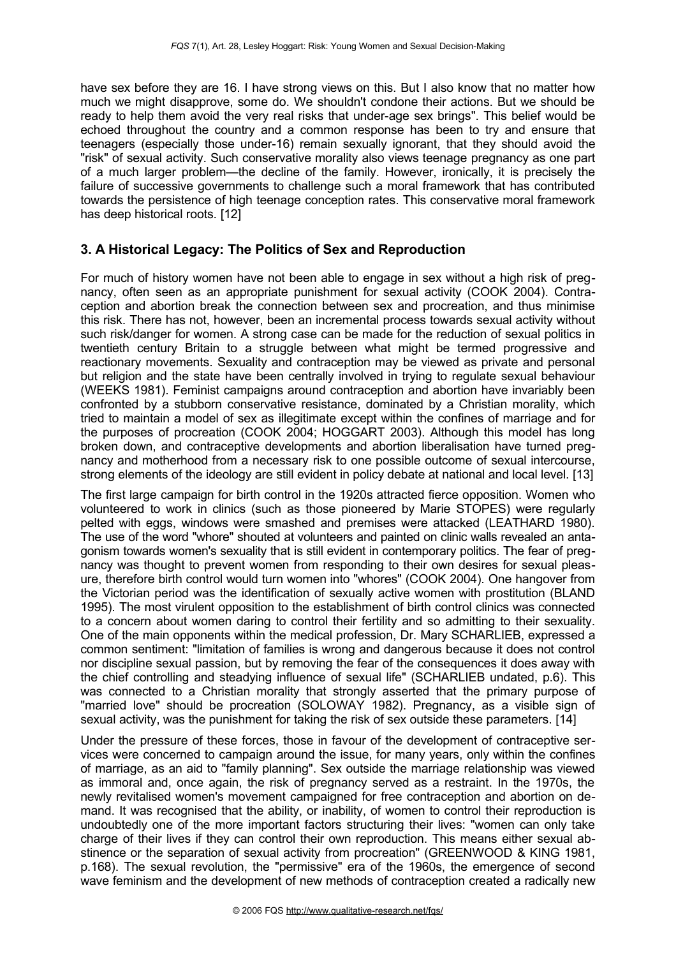have sex before they are 16. I have strong views on this. But I also know that no matter how much we might disapprove, some do. We shouldn't condone their actions. But we should be ready to help them avoid the very real risks that under-age sex brings". This belief would be echoed throughout the country and a common response has been to try and ensure that teenagers (especially those under-16) remain sexually ignorant, that they should avoid the "risk" of sexual activity. Such conservative morality also views teenage pregnancy as one part of a much larger problem—the decline of the family. However, ironically, it is precisely the failure of successive governments to challenge such a moral framework that has contributed towards the persistence of high teenage conception rates. This conservative moral framework has deep historical roots. [12]

# <span id="page-4-0"></span>**3. A Historical Legacy: The Politics of Sex and Reproduction**

For much of history women have not been able to engage in sex without a high risk of pregnancy, often seen as an appropriate punishment for sexual activity (COOK 2004). Contraception and abortion break the connection between sex and procreation, and thus minimise this risk. There has not, however, been an incremental process towards sexual activity without such risk/danger for women. A strong case can be made for the reduction of sexual politics in twentieth century Britain to a struggle between what might be termed progressive and reactionary movements. Sexuality and contraception may be viewed as private and personal but religion and the state have been centrally involved in trying to regulate sexual behaviour (WEEKS 1981). Feminist campaigns around contraception and abortion have invariably been confronted by a stubborn conservative resistance, dominated by a Christian morality, which tried to maintain a model of sex as illegitimate except within the confines of marriage and for the purposes of procreation (COOK 2004; HOGGART 2003). Although this model has long broken down, and contraceptive developments and abortion liberalisation have turned pregnancy and motherhood from a necessary risk to one possible outcome of sexual intercourse, strong elements of the ideology are still evident in policy debate at national and local level. [13]

The first large campaign for birth control in the 1920s attracted fierce opposition. Women who volunteered to work in clinics (such as those pioneered by Marie STOPES) were regularly pelted with eggs, windows were smashed and premises were attacked (LEATHARD 1980). The use of the word "whore" shouted at volunteers and painted on clinic walls revealed an antagonism towards women's sexuality that is still evident in contemporary politics. The fear of pregnancy was thought to prevent women from responding to their own desires for sexual pleasure, therefore birth control would turn women into "whores" (COOK 2004). One hangover from the Victorian period was the identification of sexually active women with prostitution (BLAND 1995). The most virulent opposition to the establishment of birth control clinics was connected to a concern about women daring to control their fertility and so admitting to their sexuality. One of the main opponents within the medical profession, Dr. Mary SCHARLIEB, expressed a common sentiment: "limitation of families is wrong and dangerous because it does not control nor discipline sexual passion, but by removing the fear of the consequences it does away with the chief controlling and steadying influence of sexual life" (SCHARLIEB undated, p.6). This was connected to a Christian morality that strongly asserted that the primary purpose of "married love" should be procreation (SOLOWAY 1982). Pregnancy, as a visible sign of sexual activity, was the punishment for taking the risk of sex outside these parameters. [14]

Under the pressure of these forces, those in favour of the development of contraceptive services were concerned to campaign around the issue, for many years, only within the confines of marriage, as an aid to "family planning". Sex outside the marriage relationship was viewed as immoral and, once again, the risk of pregnancy served as a restraint. In the 1970s, the newly revitalised women's movement campaigned for free contraception and abortion on demand. It was recognised that the ability, or inability, of women to control their reproduction is undoubtedly one of the more important factors structuring their lives: "women can only take charge of their lives if they can control their own reproduction. This means either sexual abstinence or the separation of sexual activity from procreation" (GREENWOOD & KING 1981, p.168). The sexual revolution, the "permissive" era of the 1960s, the emergence of second wave feminism and the development of new methods of contraception created a radically new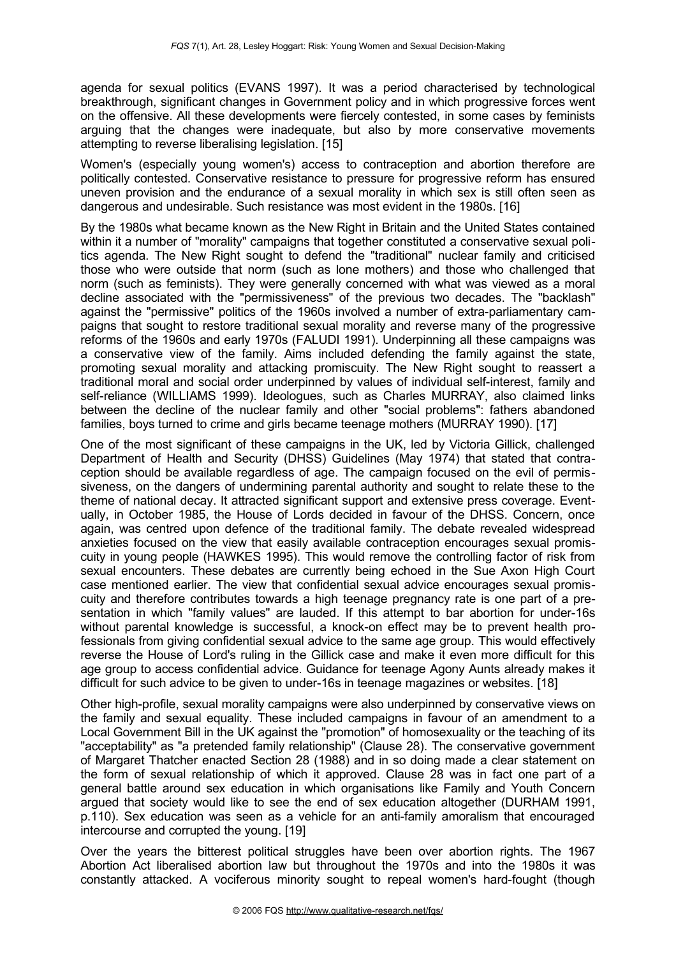agenda for sexual politics (EVANS 1997). It was a period characterised by technological breakthrough, significant changes in Government policy and in which progressive forces went on the offensive. All these developments were fiercely contested, in some cases by feminists arguing that the changes were inadequate, but also by more conservative movements attempting to reverse liberalising legislation. [15]

Women's (especially young women's) access to contraception and abortion therefore are politically contested. Conservative resistance to pressure for progressive reform has ensured uneven provision and the endurance of a sexual morality in which sex is still often seen as dangerous and undesirable. Such resistance was most evident in the 1980s. [16]

By the 1980s what became known as the New Right in Britain and the United States contained within it a number of "morality" campaigns that together constituted a conservative sexual politics agenda. The New Right sought to defend the "traditional" nuclear family and criticised those who were outside that norm (such as lone mothers) and those who challenged that norm (such as feminists). They were generally concerned with what was viewed as a moral decline associated with the "permissiveness" of the previous two decades. The "backlash" against the "permissive" politics of the 1960s involved a number of extra-parliamentary campaigns that sought to restore traditional sexual morality and reverse many of the progressive reforms of the 1960s and early 1970s (FALUDI 1991). Underpinning all these campaigns was a conservative view of the family. Aims included defending the family against the state, promoting sexual morality and attacking promiscuity. The New Right sought to reassert a traditional moral and social order underpinned by values of individual self-interest, family and self-reliance (WILLIAMS 1999). Ideologues, such as Charles MURRAY, also claimed links between the decline of the nuclear family and other "social problems": fathers abandoned families, boys turned to crime and girls became teenage mothers (MURRAY 1990). [17]

One of the most significant of these campaigns in the UK, led by Victoria Gillick, challenged Department of Health and Security (DHSS) Guidelines (May 1974) that stated that contraception should be available regardless of age. The campaign focused on the evil of permissiveness, on the dangers of undermining parental authority and sought to relate these to the theme of national decay. It attracted significant support and extensive press coverage. Eventually, in October 1985, the House of Lords decided in favour of the DHSS. Concern, once again, was centred upon defence of the traditional family. The debate revealed widespread anxieties focused on the view that easily available contraception encourages sexual promiscuity in young people (HAWKES 1995). This would remove the controlling factor of risk from sexual encounters. These debates are currently being echoed in the Sue Axon High Court case mentioned earlier. The view that confidential sexual advice encourages sexual promiscuity and therefore contributes towards a high teenage pregnancy rate is one part of a presentation in which "family values" are lauded. If this attempt to bar abortion for under-16s without parental knowledge is successful, a knock-on effect may be to prevent health professionals from giving confidential sexual advice to the same age group. This would effectively reverse the House of Lord's ruling in the Gillick case and make it even more difficult for this age group to access confidential advice. Guidance for teenage Agony Aunts already makes it difficult for such advice to be given to under-16s in teenage magazines or websites. [18]

Other high-profile, sexual morality campaigns were also underpinned by conservative views on the family and sexual equality. These included campaigns in favour of an amendment to a Local Government Bill in the UK against the "promotion" of homosexuality or the teaching of its "acceptability" as "a pretended family relationship" (Clause 28). The conservative government of Margaret Thatcher enacted Section 28 (1988) and in so doing made a clear statement on the form of sexual relationship of which it approved. Clause 28 was in fact one part of a general battle around sex education in which organisations like Family and Youth Concern argued that society would like to see the end of sex education altogether (DURHAM 1991, p.110). Sex education was seen as a vehicle for an anti-family amoralism that encouraged intercourse and corrupted the young. [19]

Over the years the bitterest political struggles have been over abortion rights. The 1967 Abortion Act liberalised abortion law but throughout the 1970s and into the 1980s it was constantly attacked. A vociferous minority sought to repeal women's hard-fought (though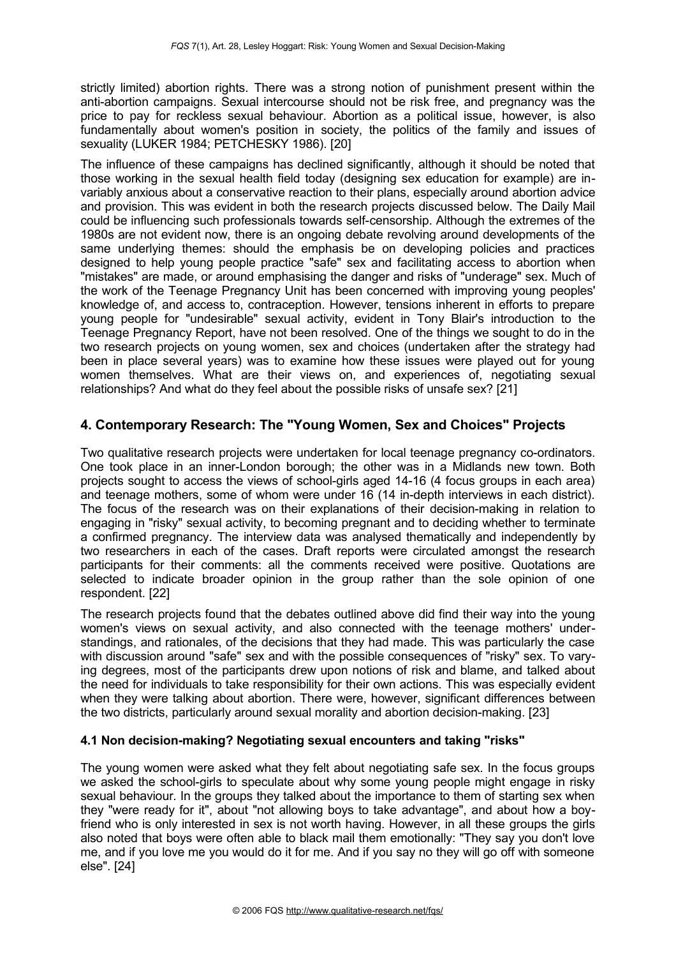strictly limited) abortion rights. There was a strong notion of punishment present within the anti-abortion campaigns. Sexual intercourse should not be risk free, and pregnancy was the price to pay for reckless sexual behaviour. Abortion as a political issue, however, is also fundamentally about women's position in society, the politics of the family and issues of sexuality (LUKER 1984; PETCHESKY 1986). [20]

The influence of these campaigns has declined significantly, although it should be noted that those working in the sexual health field today (designing sex education for example) are invariably anxious about a conservative reaction to their plans, especially around abortion advice and provision. This was evident in both the research projects discussed below. The Daily Mail could be influencing such professionals towards self-censorship. Although the extremes of the 1980s are not evident now, there is an ongoing debate revolving around developments of the same underlying themes: should the emphasis be on developing policies and practices designed to help young people practice "safe" sex and facilitating access to abortion when "mistakes" are made, or around emphasising the danger and risks of "underage" sex. Much of the work of the Teenage Pregnancy Unit has been concerned with improving young peoples' knowledge of, and access to, contraception. However, tensions inherent in efforts to prepare young people for "undesirable" sexual activity, evident in Tony Blair's introduction to the Teenage Pregnancy Report, have not been resolved. One of the things we sought to do in the two research projects on young women, sex and choices (undertaken after the strategy had been in place several years) was to examine how these issues were played out for young women themselves. What are their views on, and experiences of, negotiating sexual relationships? And what do they feel about the possible risks of unsafe sex? [21]

### <span id="page-6-1"></span>**4. Contemporary Research: The "Young Women, Sex and Choices" Projects**

Two qualitative research projects were undertaken for local teenage pregnancy co-ordinators. One took place in an inner-London borough; the other was in a Midlands new town. Both projects sought to access the views of school-girls aged 14-16 (4 focus groups in each area) and teenage mothers, some of whom were under 16 (14 in-depth interviews in each district). The focus of the research was on their explanations of their decision-making in relation to engaging in "risky" sexual activity, to becoming pregnant and to deciding whether to terminate a confirmed pregnancy. The interview data was analysed thematically and independently by two researchers in each of the cases. Draft reports were circulated amongst the research participants for their comments: all the comments received were positive. Quotations are selected to indicate broader opinion in the group rather than the sole opinion of one respondent. [22]

The research projects found that the debates outlined above did find their way into the young women's views on sexual activity, and also connected with the teenage mothers' understandings, and rationales, of the decisions that they had made. This was particularly the case with discussion around "safe" sex and with the possible consequences of "risky" sex. To varying degrees, most of the participants drew upon notions of risk and blame, and talked about the need for individuals to take responsibility for their own actions. This was especially evident when they were talking about abortion. There were, however, significant differences between the two districts, particularly around sexual morality and abortion decision-making. [23]

#### <span id="page-6-0"></span>**4.1 Non decision-making? Negotiating sexual encounters and taking "risks"**

The young women were asked what they felt about negotiating safe sex. In the focus groups we asked the school-girls to speculate about why some young people might engage in risky sexual behaviour. In the groups they talked about the importance to them of starting sex when they "were ready for it", about "not allowing boys to take advantage", and about how a boyfriend who is only interested in sex is not worth having. However, in all these groups the girls also noted that boys were often able to black mail them emotionally: "They say you don't love me, and if you love me you would do it for me. And if you say no they will go off with someone else". [24]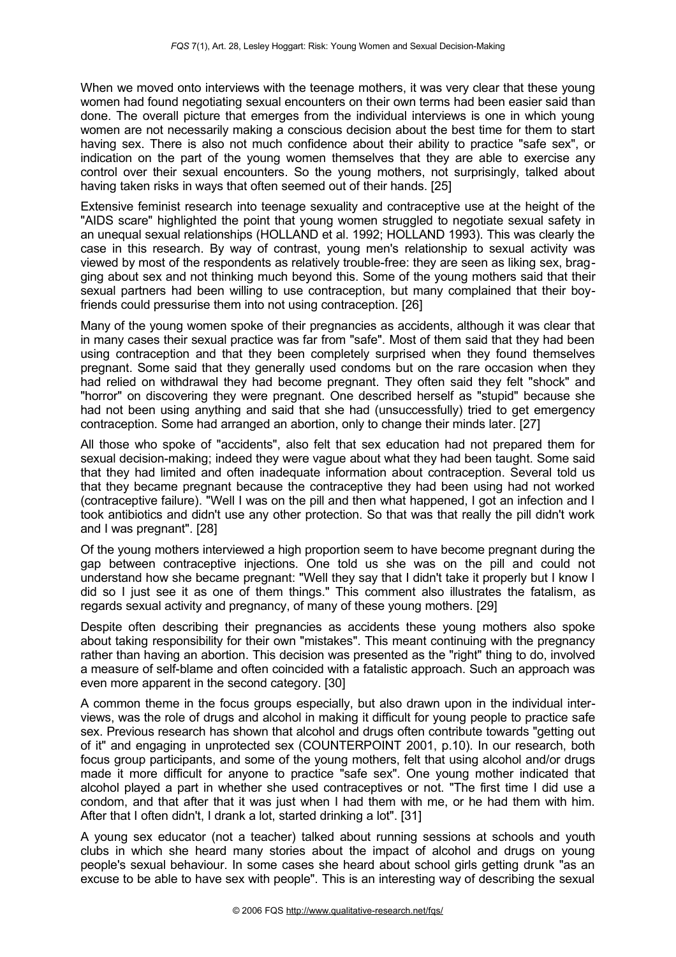When we moved onto interviews with the teenage mothers, it was very clear that these young women had found negotiating sexual encounters on their own terms had been easier said than done. The overall picture that emerges from the individual interviews is one in which young women are not necessarily making a conscious decision about the best time for them to start having sex. There is also not much confidence about their ability to practice "safe sex", or indication on the part of the young women themselves that they are able to exercise any control over their sexual encounters. So the young mothers, not surprisingly, talked about having taken risks in ways that often seemed out of their hands. [25]

Extensive feminist research into teenage sexuality and contraceptive use at the height of the "AIDS scare" highlighted the point that young women struggled to negotiate sexual safety in an unequal sexual relationships (HOLLAND et al. 1992; HOLLAND 1993). This was clearly the case in this research. By way of contrast, young men's relationship to sexual activity was viewed by most of the respondents as relatively trouble-free: they are seen as liking sex, bragging about sex and not thinking much beyond this. Some of the young mothers said that their sexual partners had been willing to use contraception, but many complained that their boyfriends could pressurise them into not using contraception. [26]

Many of the young women spoke of their pregnancies as accidents, although it was clear that in many cases their sexual practice was far from "safe". Most of them said that they had been using contraception and that they been completely surprised when they found themselves pregnant. Some said that they generally used condoms but on the rare occasion when they had relied on withdrawal they had become pregnant. They often said they felt "shock" and "horror" on discovering they were pregnant. One described herself as "stupid" because she had not been using anything and said that she had (unsuccessfully) tried to get emergency contraception. Some had arranged an abortion, only to change their minds later. [27]

All those who spoke of "accidents", also felt that sex education had not prepared them for sexual decision-making; indeed they were vague about what they had been taught. Some said that they had limited and often inadequate information about contraception. Several told us that they became pregnant because the contraceptive they had been using had not worked (contraceptive failure). "Well I was on the pill and then what happened, I got an infection and I took antibiotics and didn't use any other protection. So that was that really the pill didn't work and I was pregnant". [28]

Of the young mothers interviewed a high proportion seem to have become pregnant during the gap between contraceptive injections. One told us she was on the pill and could not understand how she became pregnant: "Well they say that I didn't take it properly but I know I did so I just see it as one of them things." This comment also illustrates the fatalism, as regards sexual activity and pregnancy, of many of these young mothers. [29]

Despite often describing their pregnancies as accidents these young mothers also spoke about taking responsibility for their own "mistakes". This meant continuing with the pregnancy rather than having an abortion. This decision was presented as the "right" thing to do, involved a measure of self-blame and often coincided with a fatalistic approach. Such an approach was even more apparent in the second category. [30]

A common theme in the focus groups especially, but also drawn upon in the individual interviews, was the role of drugs and alcohol in making it difficult for young people to practice safe sex. Previous research has shown that alcohol and drugs often contribute towards "getting out of it" and engaging in unprotected sex (COUNTERPOINT 2001, p.10). In our research, both focus group participants, and some of the young mothers, felt that using alcohol and/or drugs made it more difficult for anyone to practice "safe sex". One young mother indicated that alcohol played a part in whether she used contraceptives or not. "The first time I did use a condom, and that after that it was just when I had them with me, or he had them with him. After that I often didn't, I drank a lot, started drinking a lot". [31]

A young sex educator (not a teacher) talked about running sessions at schools and youth clubs in which she heard many stories about the impact of alcohol and drugs on young people's sexual behaviour. In some cases she heard about school girls getting drunk "as an excuse to be able to have sex with people". This is an interesting way of describing the sexual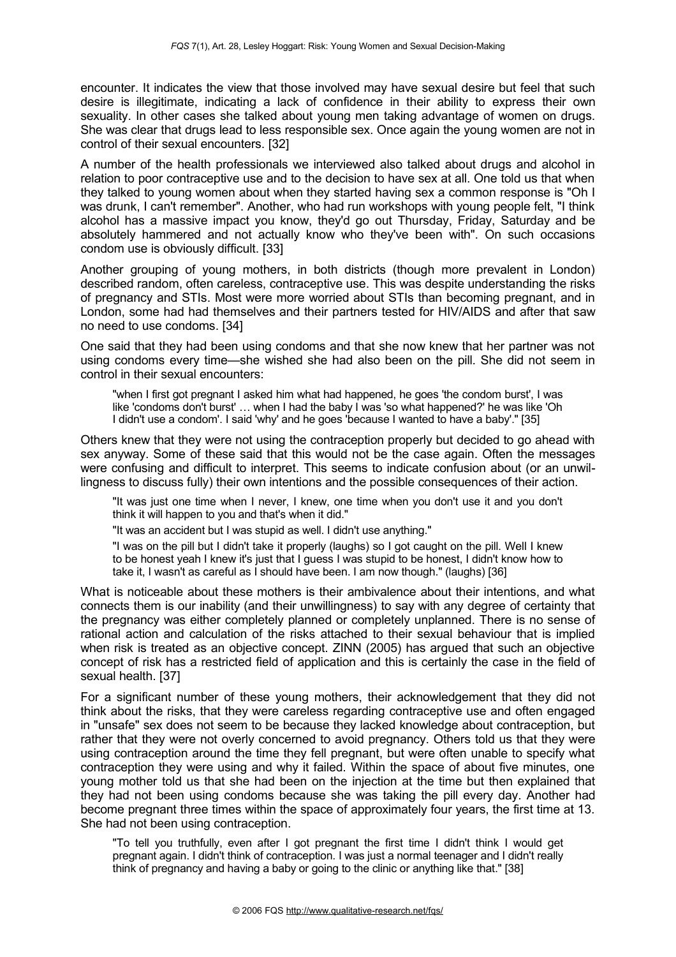encounter. It indicates the view that those involved may have sexual desire but feel that such desire is illegitimate, indicating a lack of confidence in their ability to express their own sexuality. In other cases she talked about young men taking advantage of women on drugs. She was clear that drugs lead to less responsible sex. Once again the young women are not in control of their sexual encounters. [32]

A number of the health professionals we interviewed also talked about drugs and alcohol in relation to poor contraceptive use and to the decision to have sex at all. One told us that when they talked to young women about when they started having sex a common response is "Oh I was drunk, I can't remember". Another, who had run workshops with young people felt, "I think alcohol has a massive impact you know, they'd go out Thursday, Friday, Saturday and be absolutely hammered and not actually know who they've been with". On such occasions condom use is obviously difficult. [33]

Another grouping of young mothers, in both districts (though more prevalent in London) described random, often careless, contraceptive use. This was despite understanding the risks of pregnancy and STIs. Most were more worried about STIs than becoming pregnant, and in London, some had had themselves and their partners tested for HIV/AIDS and after that saw no need to use condoms. [34]

One said that they had been using condoms and that she now knew that her partner was not using condoms every time—she wished she had also been on the pill. She did not seem in control in their sexual encounters:

"when I first got pregnant I asked him what had happened, he goes 'the condom burst', I was like 'condoms don't burst' … when I had the baby I was 'so what happened?' he was like 'Oh I didn't use a condom'. I said 'why' and he goes 'because I wanted to have a baby'." [35]

Others knew that they were not using the contraception properly but decided to go ahead with sex anyway. Some of these said that this would not be the case again. Often the messages were confusing and difficult to interpret. This seems to indicate confusion about (or an unwillingness to discuss fully) their own intentions and the possible consequences of their action.

"It was just one time when I never, I knew, one time when you don't use it and you don't think it will happen to you and that's when it did."

"It was an accident but I was stupid as well. I didn't use anything."

"I was on the pill but I didn't take it properly (laughs) so I got caught on the pill. Well I knew to be honest yeah I knew it's just that I guess I was stupid to be honest, I didn't know how to take it, I wasn't as careful as I should have been. I am now though." (laughs) [36]

What is noticeable about these mothers is their ambivalence about their intentions, and what connects them is our inability (and their unwillingness) to say with any degree of certainty that the pregnancy was either completely planned or completely unplanned. There is no sense of rational action and calculation of the risks attached to their sexual behaviour that is implied when risk is treated as an objective concept. ZINN (2005) has argued that such an objective concept of risk has a restricted field of application and this is certainly the case in the field of sexual health. [37]

For a significant number of these young mothers, their acknowledgement that they did not think about the risks, that they were careless regarding contraceptive use and often engaged in "unsafe" sex does not seem to be because they lacked knowledge about contraception, but rather that they were not overly concerned to avoid pregnancy. Others told us that they were using contraception around the time they fell pregnant, but were often unable to specify what contraception they were using and why it failed. Within the space of about five minutes, one young mother told us that she had been on the injection at the time but then explained that they had not been using condoms because she was taking the pill every day. Another had become pregnant three times within the space of approximately four years, the first time at 13. She had not been using contraception.

"To tell you truthfully, even after I got pregnant the first time I didn't think I would get pregnant again. I didn't think of contraception. I was just a normal teenager and I didn't really think of pregnancy and having a baby or going to the clinic or anything like that." [38]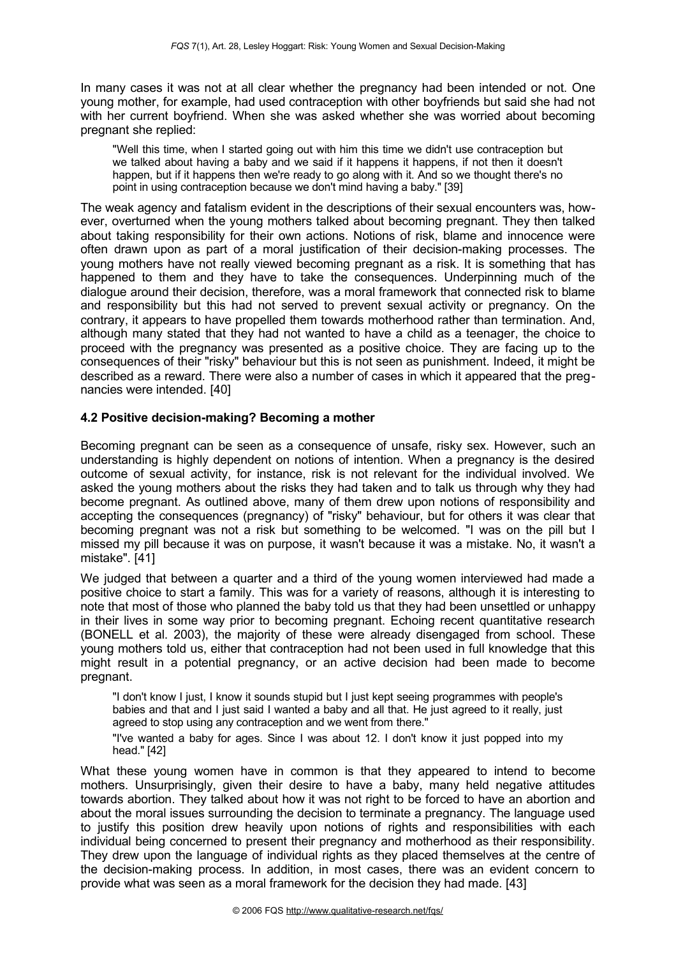In many cases it was not at all clear whether the pregnancy had been intended or not. One young mother, for example, had used contraception with other boyfriends but said she had not with her current boyfriend. When she was asked whether she was worried about becoming pregnant she replied:

"Well this time, when I started going out with him this time we didn't use contraception but we talked about having a baby and we said if it happens it happens, if not then it doesn't happen, but if it happens then we're ready to go along with it. And so we thought there's no point in using contraception because we don't mind having a baby." [39]

The weak agency and fatalism evident in the descriptions of their sexual encounters was, however, overturned when the young mothers talked about becoming pregnant. They then talked about taking responsibility for their own actions. Notions of risk, blame and innocence were often drawn upon as part of a moral justification of their decision-making processes. The young mothers have not really viewed becoming pregnant as a risk. It is something that has happened to them and they have to take the consequences. Underpinning much of the dialogue around their decision, therefore, was a moral framework that connected risk to blame and responsibility but this had not served to prevent sexual activity or pregnancy. On the contrary, it appears to have propelled them towards motherhood rather than termination. And, although many stated that they had not wanted to have a child as a teenager, the choice to proceed with the pregnancy was presented as a positive choice. They are facing up to the consequences of their "risky" behaviour but this is not seen as punishment. Indeed, it might be described as a reward. There were also a number of cases in which it appeared that the pregnancies were intended. [40]

#### <span id="page-9-0"></span>**4.2 Positive decision-making? Becoming a mother**

Becoming pregnant can be seen as a consequence of unsafe, risky sex. However, such an understanding is highly dependent on notions of intention. When a pregnancy is the desired outcome of sexual activity, for instance, risk is not relevant for the individual involved. We asked the young mothers about the risks they had taken and to talk us through why they had become pregnant. As outlined above, many of them drew upon notions of responsibility and accepting the consequences (pregnancy) of "risky" behaviour, but for others it was clear that becoming pregnant was not a risk but something to be welcomed. "I was on the pill but I missed my pill because it was on purpose, it wasn't because it was a mistake. No, it wasn't a mistake". [41]

We judged that between a quarter and a third of the young women interviewed had made a positive choice to start a family. This was for a variety of reasons, although it is interesting to note that most of those who planned the baby told us that they had been unsettled or unhappy in their lives in some way prior to becoming pregnant. Echoing recent quantitative research (BONELL et al. 2003), the majority of these were already disengaged from school. These young mothers told us, either that contraception had not been used in full knowledge that this might result in a potential pregnancy, or an active decision had been made to become pregnant.

"I don't know I just, I know it sounds stupid but I just kept seeing programmes with people's babies and that and I just said I wanted a baby and all that. He just agreed to it really, just agreed to stop using any contraception and we went from there."

"I've wanted a baby for ages. Since I was about 12. I don't know it just popped into my head." [42]

What these young women have in common is that they appeared to intend to become mothers. Unsurprisingly, given their desire to have a baby, many held negative attitudes towards abortion. They talked about how it was not right to be forced to have an abortion and about the moral issues surrounding the decision to terminate a pregnancy. The language used to justify this position drew heavily upon notions of rights and responsibilities with each individual being concerned to present their pregnancy and motherhood as their responsibility. They drew upon the language of individual rights as they placed themselves at the centre of the decision-making process. In addition, in most cases, there was an evident concern to provide what was seen as a moral framework for the decision they had made. [43]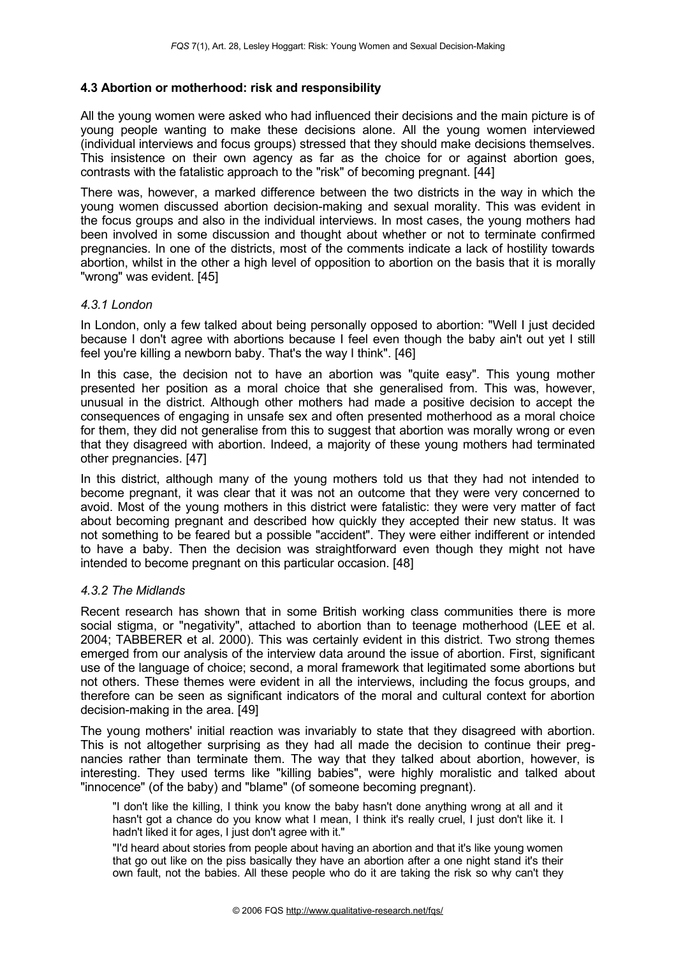#### <span id="page-10-0"></span>**4.3 Abortion or motherhood: risk and responsibility**

All the young women were asked who had influenced their decisions and the main picture is of young people wanting to make these decisions alone. All the young women interviewed (individual interviews and focus groups) stressed that they should make decisions themselves. This insistence on their own agency as far as the choice for or against abortion goes, contrasts with the fatalistic approach to the "risk" of becoming pregnant. [44]

There was, however, a marked difference between the two districts in the way in which the young women discussed abortion decision-making and sexual morality. This was evident in the focus groups and also in the individual interviews. In most cases, the young mothers had been involved in some discussion and thought about whether or not to terminate confirmed pregnancies. In one of the districts, most of the comments indicate a lack of hostility towards abortion, whilst in the other a high level of opposition to abortion on the basis that it is morally "wrong" was evident. [45]

#### *4.3.1 London*

In London, only a few talked about being personally opposed to abortion: "Well I just decided because I don't agree with abortions because I feel even though the baby ain't out yet I still feel you're killing a newborn baby. That's the way I think". [46]

In this case, the decision not to have an abortion was "quite easy". This young mother presented her position as a moral choice that she generalised from. This was, however, unusual in the district. Although other mothers had made a positive decision to accept the consequences of engaging in unsafe sex and often presented motherhood as a moral choice for them, they did not generalise from this to suggest that abortion was morally wrong or even that they disagreed with abortion. Indeed, a majority of these young mothers had terminated other pregnancies. [47]

In this district, although many of the young mothers told us that they had not intended to become pregnant, it was clear that it was not an outcome that they were very concerned to avoid. Most of the young mothers in this district were fatalistic: they were very matter of fact about becoming pregnant and described how quickly they accepted their new status. It was not something to be feared but a possible "accident". They were either indifferent or intended to have a baby. Then the decision was straightforward even though they might not have intended to become pregnant on this particular occasion. [48]

#### *4.3.2 The Midlands*

Recent research has shown that in some British working class communities there is more social stigma, or "negativity", attached to abortion than to teenage motherhood (LEE et al. 2004; TABBERER et al. 2000). This was certainly evident in this district. Two strong themes emerged from our analysis of the interview data around the issue of abortion. First, significant use of the language of choice; second, a moral framework that legitimated some abortions but not others. These themes were evident in all the interviews, including the focus groups, and therefore can be seen as significant indicators of the moral and cultural context for abortion decision-making in the area. [49]

The young mothers' initial reaction was invariably to state that they disagreed with abortion. This is not altogether surprising as they had all made the decision to continue their pregnancies rather than terminate them. The way that they talked about abortion, however, is interesting. They used terms like "killing babies", were highly moralistic and talked about "innocence" (of the baby) and "blame" (of someone becoming pregnant).

"I don't like the killing, I think you know the baby hasn't done anything wrong at all and it hasn't got a chance do you know what I mean. I think it's really cruel, I just don't like it. I hadn't liked it for ages, I just don't agree with it."

"I'd heard about stories from people about having an abortion and that it's like young women that go out like on the piss basically they have an abortion after a one night stand it's their own fault, not the babies. All these people who do it are taking the risk so why can't they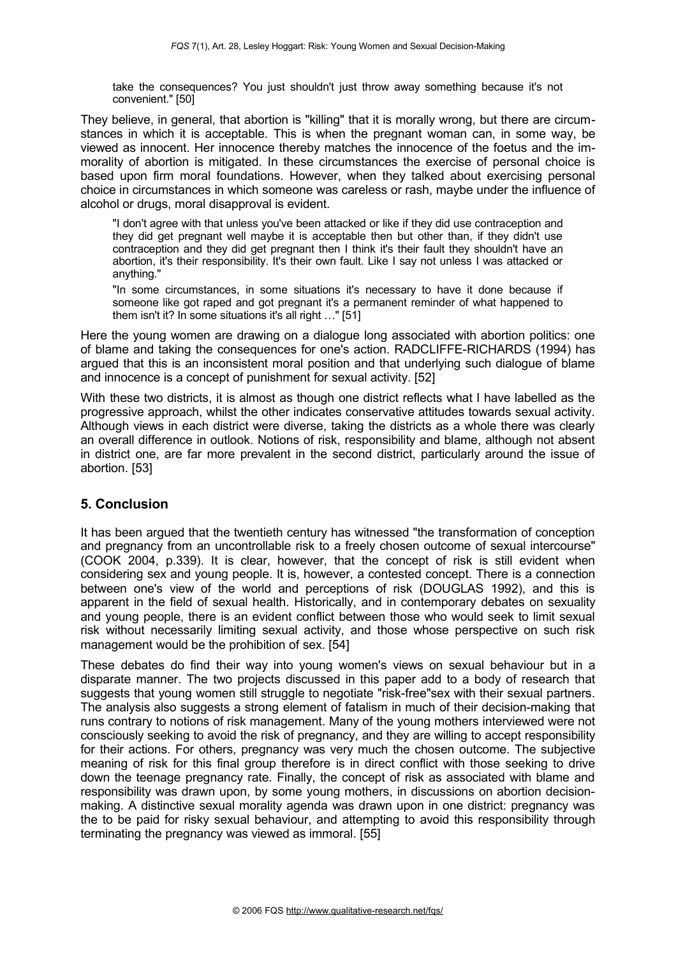take the consequences? You just shouldn't just throw away something because it's not convenient." [50]

They believe, in general, that abortion is "killing" that it is morally wrong, but there are circumstances in which it is acceptable. This is when the pregnant woman can, in some way, be viewed as innocent. Her innocence thereby matches the innocence of the foetus and the immorality of abortion is mitigated. In these circumstances the exercise of personal choice is based upon firm moral foundations. However, when they talked about exercising personal choice in circumstances in which someone was careless or rash, maybe under the influence of alcohol or drugs, moral disapproval is evident.

"I don't agree with that unless you've been attacked or like if they did use contraception and they did get pregnant well maybe it is acceptable then but other than, if they didn't use contraception and they did get pregnant then I think it's their fault they shouldn't have an abortion, it's their responsibility. It's their own fault. Like I say not unless I was attacked or anything."

"In some circumstances, in some situations it's necessary to have it done because if someone like got raped and got pregnant it's a permanent reminder of what happened to them isn't it? In some situations it's all right …" [51]

Here the young women are drawing on a dialogue long associated with abortion politics: one of blame and taking the consequences for one's action. RADCLIFFE-RICHARDS (1994) has argued that this is an inconsistent moral position and that underlying such dialogue of blame and innocence is a concept of punishment for sexual activity. [52]

With these two districts, it is almost as though one district reflects what I have labelled as the progressive approach, whilst the other indicates conservative attitudes towards sexual activity. Although views in each district were diverse, taking the districts as a whole there was clearly an overall difference in outlook. Notions of risk, responsibility and blame, although not absent in district one, are far more prevalent in the second district, particularly around the issue of abortion. [53]

#### <span id="page-11-0"></span>**5. Conclusion**

It has been argued that the twentieth century has witnessed "the transformation of conception and pregnancy from an uncontrollable risk to a freely chosen outcome of sexual intercourse" (COOK 2004, p.339). It is clear, however, that the concept of risk is still evident when considering sex and young people. It is, however, a contested concept. There is a connection between one's view of the world and perceptions of risk (DOUGLAS 1992), and this is apparent in the field of sexual health. Historically, and in contemporary debates on sexuality and young people, there is an evident conflict between those who would seek to limit sexual risk without necessarily limiting sexual activity, and those whose perspective on such risk management would be the prohibition of sex. [54]

These debates do find their way into young women's views on sexual behaviour but in a disparate manner. The two projects discussed in this paper add to a body of research that suggests that young women still struggle to negotiate "risk-free"sex with their sexual partners. The analysis also suggests a strong element of fatalism in much of their decision-making that runs contrary to notions of risk management. Many of the young mothers interviewed were not consciously seeking to avoid the risk of pregnancy, and they are willing to accept responsibility for their actions. For others, pregnancy was very much the chosen outcome. The subjective meaning of risk for this final group therefore is in direct conflict with those seeking to drive down the teenage pregnancy rate. Finally, the concept of risk as associated with blame and responsibility was drawn upon, by some young mothers, in discussions on abortion decisionmaking. A distinctive sexual morality agenda was drawn upon in one district: pregnancy was the to be paid for risky sexual behaviour, and attempting to avoid this responsibility through terminating the pregnancy was viewed as immoral. [55]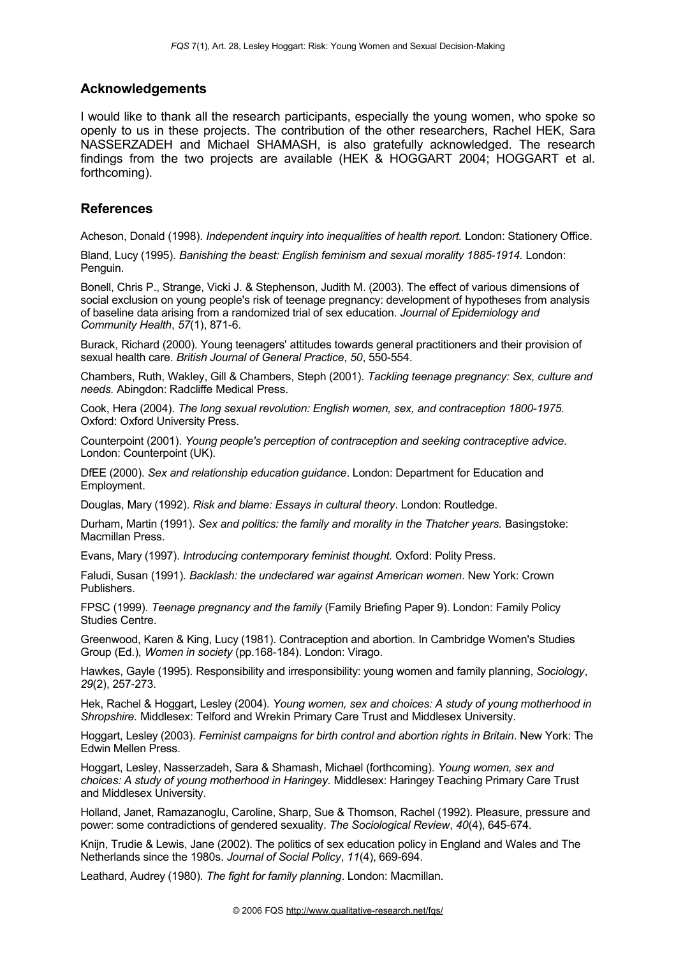#### <span id="page-12-1"></span>**Acknowledgements**

I would like to thank all the research participants, especially the young women, who spoke so openly to us in these projects. The contribution of the other researchers, Rachel HEK, Sara NASSERZADEH and Michael SHAMASH, is also gratefully acknowledged. The research findings from the two projects are available (HEK & HOGGART 2004; HOGGART et al. forthcoming).

#### <span id="page-12-0"></span>**References**

Acheson, Donald (1998). *Independent inquiry into inequalities of health report.* London: Stationery Office.

Bland, Lucy (1995). *Banishing the beast: English feminism and sexual morality 1885-1914.* London: Penguin.

Bonell, Chris P., Strange, Vicki J. & Stephenson, Judith M. (2003). The effect of various dimensions of social exclusion on young people's risk of teenage pregnancy: development of hypotheses from analysis of baseline data arising from a randomized trial of sex education. *Journal of Epidemiology and Community Health*, *57*(1), 871-6.

Burack, Richard (2000). Young teenagers' attitudes towards general practitioners and their provision of sexual health care. *British Journal of General Practice*, *50*, 550-554.

Chambers, Ruth, Wakley, Gill & Chambers, Steph (2001). *Tackling teenage pregnancy: Sex, culture and needs.* Abingdon: Radcliffe Medical Press.

Cook, Hera (2004). *The long sexual revolution: English women, sex, and contraception 1800-1975.* Oxford: Oxford University Press.

Counterpoint (2001). *Young people's perception of contraception and seeking contraceptive advice*. London: Counterpoint (UK).

DfEE (2000). *Sex and relationship education guidance*. London: Department for Education and Employment.

Douglas, Mary (1992). *Risk and blame: Essays in cultural theory*. London: Routledge.

Durham, Martin (1991). *Sex and politics: the family and morality in the Thatcher years.* Basingstoke: Macmillan Press.

Evans, Mary (1997). *Introducing contemporary feminist thought.* Oxford: Polity Press.

Faludi, Susan (1991). *Backlash: the undeclared war against American women*. New York: Crown Publishers.

FPSC (1999). *Teenage pregnancy and the family* (Family Briefing Paper 9). London: Family Policy Studies Centre.

Greenwood, Karen & King, Lucy (1981). Contraception and abortion. In Cambridge Women's Studies Group (Ed.), *Women in society* (pp.168-184). London: Virago.

Hawkes, Gayle (1995). Responsibility and irresponsibility: young women and family planning, *Sociology*, *29*(2), 257-273.

Hek, Rachel & Hoggart, Lesley (2004). *Young women, sex and choices: A study of young motherhood in Shropshire.* Middlesex: Telford and Wrekin Primary Care Trust and Middlesex University.

Hoggart, Lesley (2003). *Feminist campaigns for birth control and abortion rights in Britain*. New York: The Edwin Mellen Press.

Hoggart, Lesley, Nasserzadeh, Sara & Shamash, Michael (forthcoming). *Young women, sex and choices: A study of young motherhood in Haringey.* Middlesex: Haringey Teaching Primary Care Trust and Middlesex University.

Holland, Janet, Ramazanoglu, Caroline, Sharp, Sue & Thomson, Rachel (1992). Pleasure, pressure and power: some contradictions of gendered sexuality. *The Sociological Review*, *40*(4), 645-674.

Knijn, Trudie & Lewis, Jane (2002). The politics of sex education policy in England and Wales and The Netherlands since the 1980s. *Journal of Social Policy*, *11*(4), 669-694.

Leathard, Audrey (1980). *The fight for family planning*. London: Macmillan.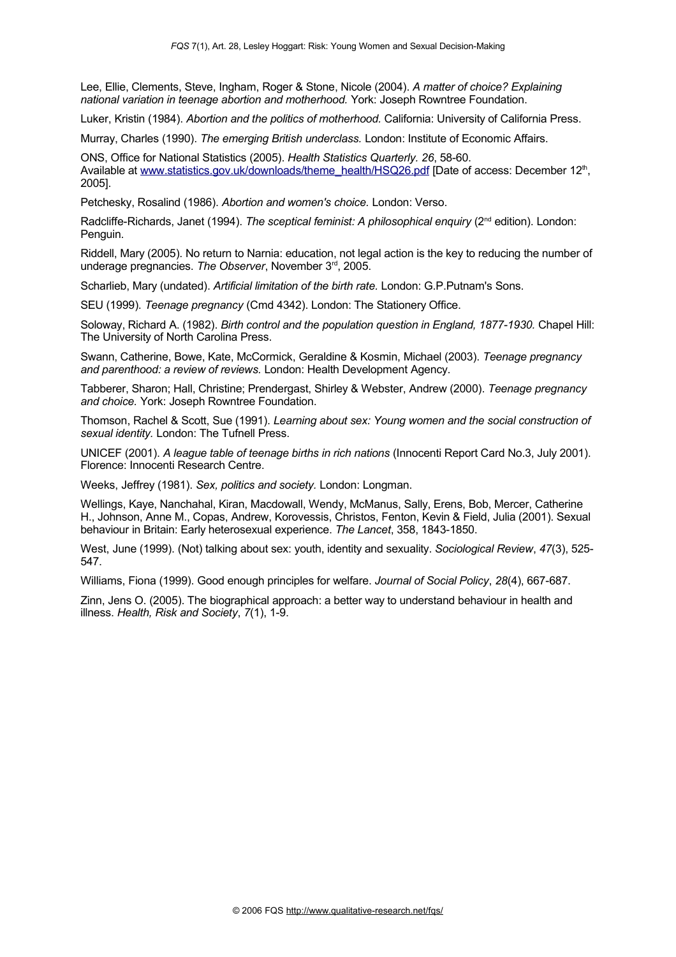Lee, Ellie, Clements, Steve, Ingham, Roger & Stone, Nicole (2004). *A matter of choice? Explaining national variation in teenage abortion and motherhood.* York: Joseph Rowntree Foundation.

Luker, Kristin (1984). *Abortion and the politics of motherhood.* California: University of California Press.

Murray, Charles (1990). *The emerging British underclass.* London: Institute of Economic Affairs.

ONS, Office for National Statistics (2005). *Health Statistics Quarterly. 26*, 58-60. Available at [www.statistics.gov.uk/downloads/theme\\_health/HSQ26.pdf](http://www.statistics.gov.uk/downloads/theme_health/HSQ26.pdf) [Date of access: December 12<sup>th</sup>, 2005].

Petchesky, Rosalind (1986). *Abortion and women's choice.* London: Verso.

Radcliffe-Richards, Janet (1994). The *sceptical feminist: A philosophical enquiry (2*<sup>nd</sup> edition). London: Penguin.

Riddell, Mary (2005). No return to Narnia: education, not legal action is the key to reducing the number of underage pregnancies. The Observer, November 3<sup>rd</sup>, 2005.

Scharlieb, Mary (undated). *Artificial limitation of the birth rate.* London: G.P.Putnam's Sons.

SEU (1999). *Teenage pregnancy* (Cmd 4342). London: The Stationery Office.

Soloway, Richard A. (1982). *Birth control and the population question in England, 1877-1930.* Chapel Hill: The University of North Carolina Press.

Swann, Catherine, Bowe, Kate, McCormick, Geraldine & Kosmin, Michael (2003). *Teenage pregnancy and parenthood: a review of reviews.* London: Health Development Agency.

Tabberer, Sharon; Hall, Christine; Prendergast, Shirley & Webster, Andrew (2000). *Teenage pregnancy and choice.* York: Joseph Rowntree Foundation.

Thomson, Rachel & Scott, Sue (1991). *Learning about sex: Young women and the social construction of sexual identity.* London: The Tufnell Press.

UNICEF (2001). *A league table of teenage births in rich nations* (Innocenti Report Card No.3, July 2001). Florence: Innocenti Research Centre.

Weeks, Jeffrey (1981). *Sex, politics and society.* London: Longman.

Wellings, Kaye, Nanchahal, Kiran, Macdowall, Wendy, McManus, Sally, Erens, Bob, Mercer, Catherine H., Johnson, Anne M., Copas, Andrew, Korovessis, Christos, Fenton, Kevin & Field, Julia (2001). Sexual behaviour in Britain: Early heterosexual experience. *The Lancet*, 358, 1843-1850.

West, June (1999). (Not) talking about sex: youth, identity and sexuality. *Sociological Review*, *47*(3), 525- 547.

Williams, Fiona (1999). Good enough principles for welfare. *Journal of Social Policy*, *28*(4), 667-687.

Zinn, Jens O. (2005). The biographical approach: a better way to understand behaviour in health and illness. *Health, Risk and Society*, *7*(1), 1-9.